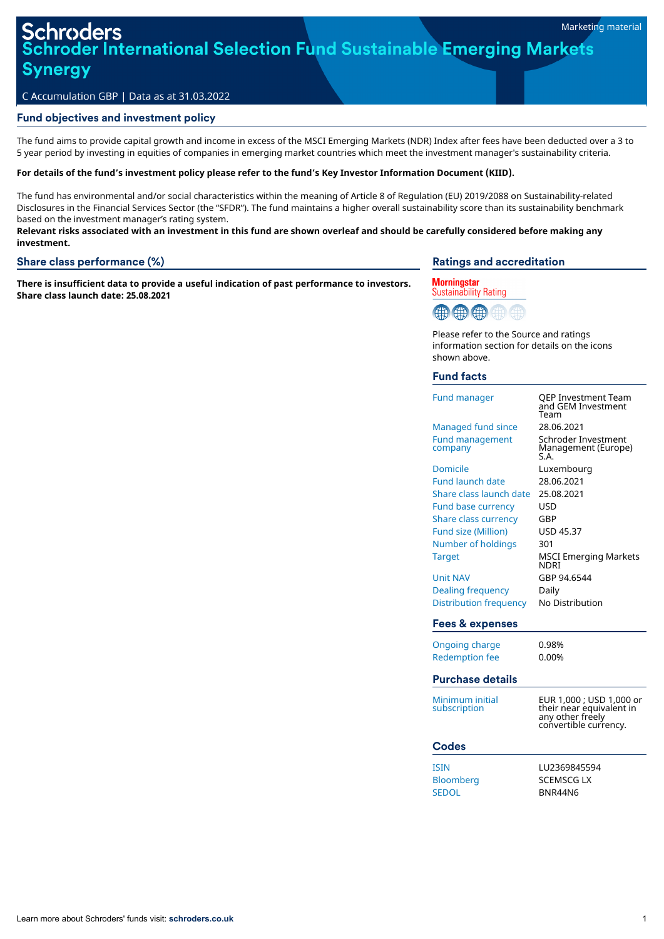# oder International Selection Fund Sustainable Emerging Markets **Synergy**

### C Accumulation GBP | Data as at 31.03.2022

#### Fund objectives and investment policy

The fund aims to provide capital growth and income in excess of the MSCI Emerging Markets (NDR) Index after fees have been deducted over a 3 to 5 year period by investing in equities of companies in emerging market countries which meet the investment manager's sustainability criteria.

#### For details of the fund's investment policy please refer to the fund's Key Investor Information Document (KIID).

The fund has environmental and/or social characteristics within the meaning of Article 8 of Regulation (EU) 2019/2088 on Sustainability-related Disclosures in the Financial Services Sector (the "SFDR"). The fund maintains a higher overall sustainability score than its sustainability benchmark based on the investment manager's rating system.

Relevant risks associated with an investment in this fund are shown overleaf and should be carefully considered before making any **investment.**

#### Share class performance (%)

**There is insufficient data to provide a useful indication of past performance to investors. Share class launch date: 25.08.2021**

### Ratings and accreditation





Please refer to the Source and ratings information section for details on the icons shown above.

### Fund facts

| <b>Fund manager</b>               | QEP Investment Team<br>and GEM Investment<br>Team                                                 |
|-----------------------------------|---------------------------------------------------------------------------------------------------|
| <b>Managed fund since</b>         | 28.06.2021                                                                                        |
| <b>Fund management</b><br>company | Schroder Investment<br>Management (Europe)<br>S.A.                                                |
| Domicile                          | Luxembourg                                                                                        |
| <b>Fund launch date</b>           | 28.06.2021                                                                                        |
| Share class launch date           | 25.08.2021                                                                                        |
| <b>Fund base currency</b>         | <b>USD</b>                                                                                        |
| <b>Share class currency</b>       | GBP                                                                                               |
| <b>Fund size (Million)</b>        | USD 45.37                                                                                         |
| Number of holdings                | 301                                                                                               |
| <b>Target</b>                     | <b>MSCI Emerging Markets</b><br><b>NDRI</b>                                                       |
| <b>Unit NAV</b>                   | GBP 94.6544                                                                                       |
| <b>Dealing frequency</b>          | Daily                                                                                             |
| Distribution frequency            | No Distribution                                                                                   |
|                                   |                                                                                                   |
| <b>Fees &amp; expenses</b>        |                                                                                                   |
| <b>Ongoing charge</b>             | 0.98%                                                                                             |
| <b>Redemption fee</b>             | 0.00%                                                                                             |
| <b>Purchase details</b>           |                                                                                                   |
| Minimum initial<br>subscription   | EUR 1,000 ; USD 1,000 or<br>their near equivalent in<br>any other freely<br>convertible currency. |
| <b>Codes</b>                      |                                                                                                   |
| <b>ISIN</b>                       | LU2369845594                                                                                      |
|                                   | <b>SCEMSCG LX</b>                                                                                 |
| <b>Bloomberg</b><br><b>SEDOL</b>  | BNR44N6                                                                                           |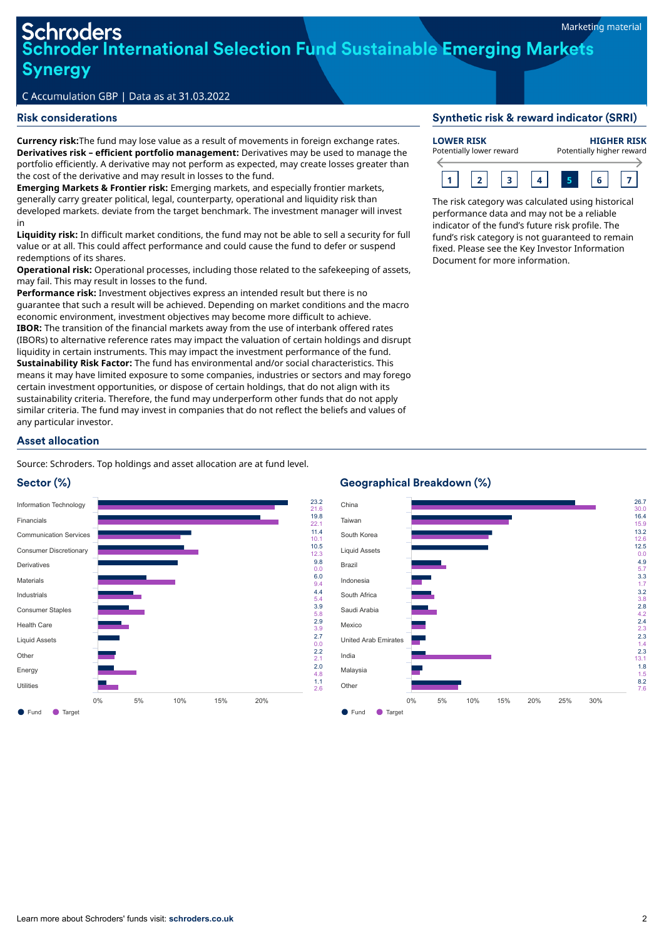# **Schroders** hroder International Selection Fund Sustainable Emerging Markets **Synergy**

## C Accumulation GBP | Data as at 31.03.2022

#### Risk considerations

**Currency risk:**The fund may lose value as a result of movements in foreign exchange rates. **Derivatives risk – efficient portfolio management:** Derivatives may be used to manage the portfolio efficiently. A derivative may not perform as expected, may create losses greater than the cost of the derivative and may result in losses to the fund.

**Emerging Markets & Frontier risk:** Emerging markets, and especially frontier markets, generally carry greater political, legal, counterparty, operational and liquidity risk than developed markets. deviate from the target benchmark. The investment manager will invest in

**Liquidity risk:** In difficult market conditions, the fund may not be able to sell a security for full value or at all. This could affect performance and could cause the fund to defer or suspend redemptions of its shares.

**Operational risk:** Operational processes, including those related to the safekeeping of assets, may fail. This may result in losses to the fund.

**Performance risk:** Investment objectives express an intended result but there is no guarantee that such a result will be achieved. Depending on market conditions and the macro economic environment, investment objectives may become more difficult to achieve. **IBOR:** The transition of the financial markets away from the use of interbank offered rates (IBORs) to alternative reference rates may impact the valuation of certain holdings and disrupt liquidity in certain instruments. This may impact the investment performance of the fund. **Sustainability Risk Factor:** The fund has environmental and/or social characteristics. This means it may have limited exposure to some companies, industries or sectors and may forego certain investment opportunities, or dispose of certain holdings, that do not align with its sustainability criteria. Therefore, the fund may underperform other funds that do not apply similar criteria. The fund may invest in companies that do not reflect the beliefs and values of any particular investor.

#### Synthetic risk & reward indicator (SRRI)



The risk category was calculated using historical performance data and may not be a reliable indicator of the fund's future risk profile. The fund's risk category is not guaranteed to remain fixed. Please see the Key Investor Information Document for more information.

# Asset allocation

Source: Schroders. Top holdings and asset allocation are at fund level.

# Sector (%)



# Geographical Breakdown (%)

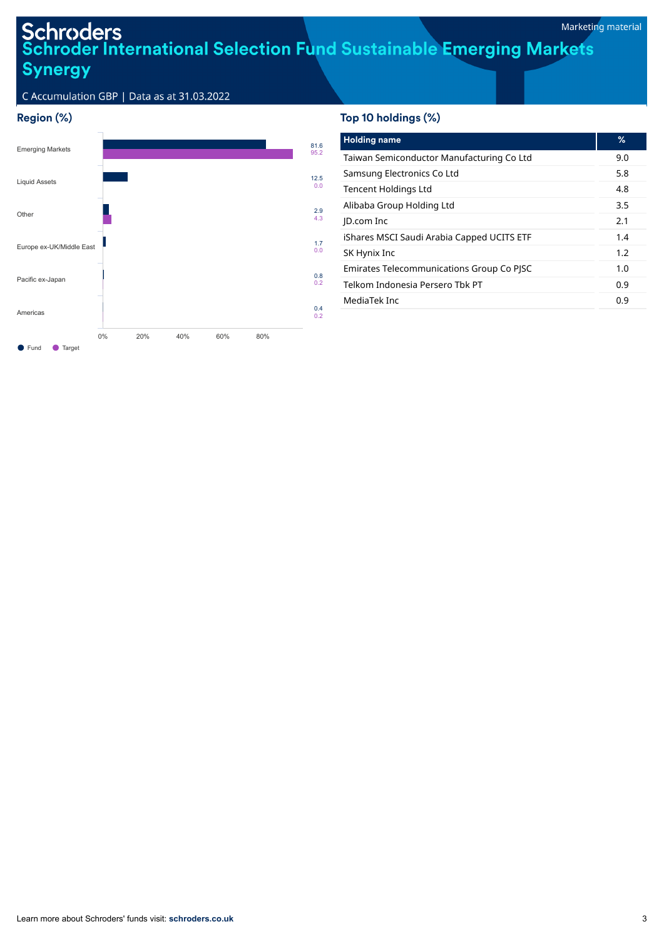# Schroders<br>Schroder International Selection Fund Sustainable Emerging Markets<br>Synergy **Synergy**

C Accumulation GBP | Data as at 31.03.2022

# Region (%)



# Top 10 holdings (%)

| <b>Holding name</b>                        | ℅   |
|--------------------------------------------|-----|
| Taiwan Semiconductor Manufacturing Co Ltd  | 9.0 |
| Samsung Electronics Co Ltd                 | 5.8 |
| <b>Tencent Holdings Ltd</b>                | 4.8 |
| Alibaba Group Holding Ltd                  | 3.5 |
| <b>ID.com Inc</b>                          | 2.1 |
| iShares MSCI Saudi Arabia Capped UCITS ETF | 1.4 |
| SK Hynix Inc                               | 1.2 |
| Emirates Telecommunications Group Co PJSC  | 1.0 |
| Telkom Indonesia Persero Thk PT            | 0.9 |
| MediaTek Inc                               | 0.9 |
|                                            |     |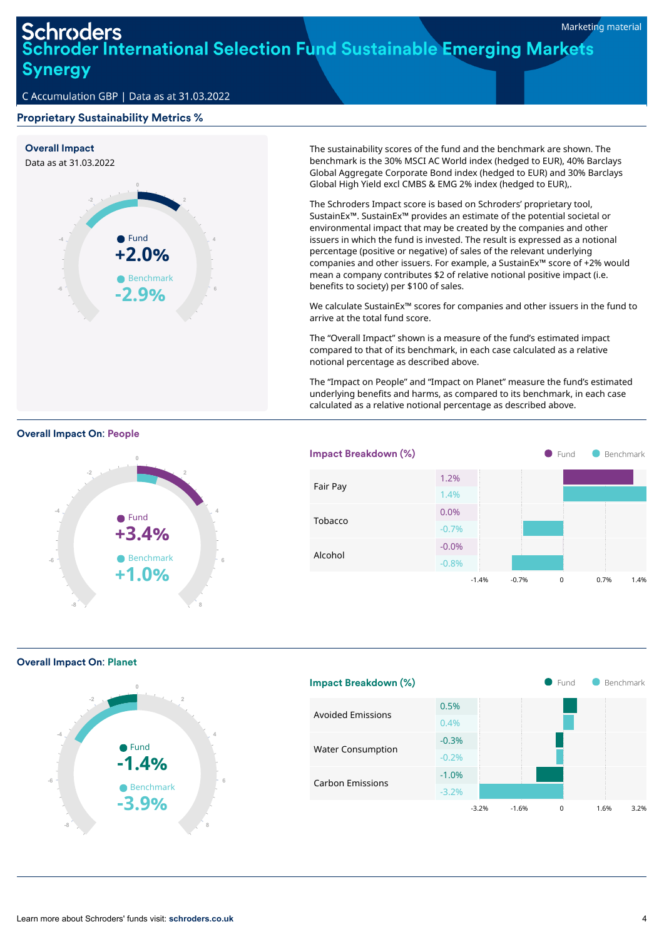# **Schroders Schroder International Selection Fund Sustainable Emerging Markets Synergy**

# C Accumulation GBP | Data as at 31.03.2022

## Proprietary Sustainability Metrics %



The sustainability scores of the fund and the benchmark are shown. The benchmark is the 30% MSCI AC World index (hedged to EUR), 40% Barclays Global Aggregate Corporate Bond index (hedged to EUR) and 30% Barclays Global High Yield excl CMBS & EMG 2% index (hedged to EUR),.

The Schroders Impact score is based on Schroders' proprietary tool, SustainEx™. SustainEx™ provides an estimate of the potential societal or environmental impact that may be created by the companies and other issuers in which the fund is invested. The result is expressed as a notional percentage (positive or negative) of sales of the relevant underlying companies and other issuers. For example, a SustainEx™ score of +2% would mean a company contributes \$2 of relative notional positive impact (i.e. benefits to society) per \$100 of sales.

We calculate SustainEx™ scores for companies and other issuers in the fund to arrive at the total fund score.

The "Overall Impact" shown is a measure of the fund's estimated impact compared to that of its benchmark, in each case calculated as a relative notional percentage as described above.

The "Impact on People" and "Impact on Planet" measure the fund's estimated underlying benefits and harms, as compared to its benchmark, in each case calculated as a relative notional percentage as described above.







Overall Impact On: Planet



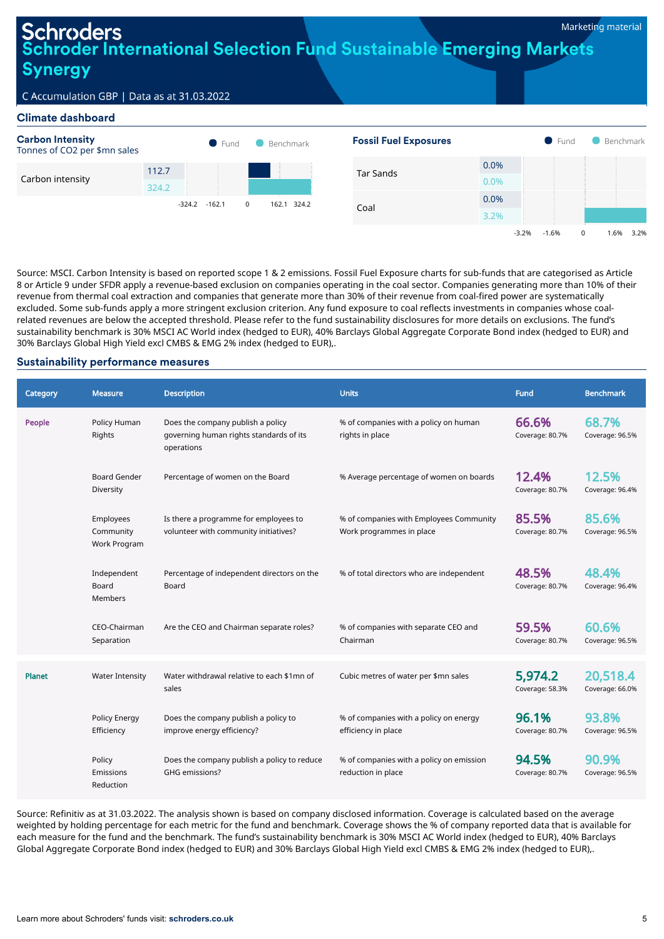-3.2% -1.6% 0 1.6% 3.2%

# roders oder International Selection Fund Sustainable Emerging Markets **Synergy**

# C Accumulation GBP | Data as at 31.03.2022

### Climate dashboard



Source: MSCI. Carbon Intensity is based on reported scope 1 & 2 emissions. Fossil Fuel Exposure charts for sub-funds that are categorised as Article 8 or Article 9 under SFDR apply a revenue-based exclusion on companies operating in the coal sector. Companies generating more than 10% of their revenue from thermal coal extraction and companies that generate more than 30% of their revenue from coal-fired power are systematically excluded. Some sub-funds apply a more stringent exclusion criterion. Any fund exposure to coal reflects investments in companies whose coalrelated revenues are below the accepted threshold. Please refer to the fund sustainability disclosures for more details on exclusions. The fund's sustainability benchmark is 30% MSCI AC World index (hedged to EUR), 40% Barclays Global Aggregate Corporate Bond index (hedged to EUR) and 30% Barclays Global High Yield excl CMBS & EMG 2% index (hedged to EUR),.

#### Sustainability performance measures

| Category | <b>Measure</b>                         | <b>Description</b>                                                                         | <b>Units</b>                                                        | Fund                       | <b>Benchmark</b>            |
|----------|----------------------------------------|--------------------------------------------------------------------------------------------|---------------------------------------------------------------------|----------------------------|-----------------------------|
| People   | Policy Human<br>Rights                 | Does the company publish a policy<br>governing human rights standards of its<br>operations | % of companies with a policy on human<br>rights in place            | 66.6%<br>Coverage: 80.7%   | 68.7%<br>Coverage: 96.5%    |
|          | <b>Board Gender</b><br>Diversity       | Percentage of women on the Board                                                           | % Average percentage of women on boards                             | 12.4%<br>Coverage: 80.7%   | 12.5%<br>Coverage: 96.4%    |
|          | Employees<br>Community<br>Work Program | Is there a programme for employees to<br>volunteer with community initiatives?             | % of companies with Employees Community<br>Work programmes in place | 85.5%<br>Coverage: 80.7%   | 85.6%<br>Coverage: 96.5%    |
|          | Independent<br>Board<br><b>Members</b> | Percentage of independent directors on the<br>Board                                        | % of total directors who are independent                            | 48.5%<br>Coverage: 80.7%   | 48.4%<br>Coverage: 96.4%    |
|          | CEO-Chairman<br>Separation             | Are the CEO and Chairman separate roles?                                                   | % of companies with separate CEO and<br>Chairman                    | 59.5%<br>Coverage: 80.7%   | 60.6%<br>Coverage: 96.5%    |
| Planet   | <b>Water Intensity</b>                 | Water withdrawal relative to each \$1mn of<br>sales                                        | Cubic metres of water per \$mn sales                                | 5,974.2<br>Coverage: 58.3% | 20,518.4<br>Coverage: 66.0% |
|          | Policy Energy<br>Efficiency            | Does the company publish a policy to<br>improve energy efficiency?                         | % of companies with a policy on energy<br>efficiency in place       | 96.1%<br>Coverage: 80.7%   | 93.8%<br>Coverage: 96.5%    |
|          | Policy<br>Emissions<br>Reduction       | Does the company publish a policy to reduce<br>GHG emissions?                              | % of companies with a policy on emission<br>reduction in place      | 94.5%<br>Coverage: 80.7%   | 90.9%<br>Coverage: 96.5%    |

Source: Refinitiv as at 31.03.2022. The analysis shown is based on company disclosed information. Coverage is calculated based on the average weighted by holding percentage for each metric for the fund and benchmark. Coverage shows the % of company reported data that is available for each measure for the fund and the benchmark. The fund's sustainability benchmark is 30% MSCI AC World index (hedged to EUR), 40% Barclays Global Aggregate Corporate Bond index (hedged to EUR) and 30% Barclays Global High Yield excl CMBS & EMG 2% index (hedged to EUR),.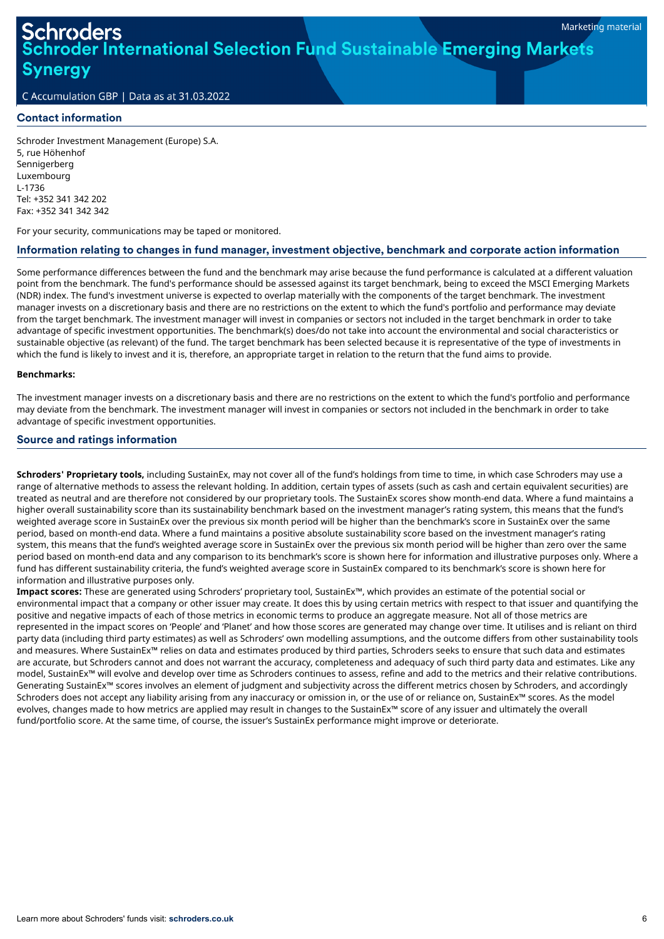# ler International Selection Fund Sustainable Emerging Markets Synergy

C Accumulation GBP | Data as at 31.03.2022

# Contact information

Schroder Investment Management (Europe) S.A. 5, rue Höhenhof Sennigerberg Luxembourg L-1736 Tel: +352 341 342 202 Fax: +352 341 342 342

For your security, communications may be taped or monitored.

# Information relating to changes in fund manager, investment objective, benchmark and corporate action information

Some performance differences between the fund and the benchmark may arise because the fund performance is calculated at a different valuation point from the benchmark. The fund's performance should be assessed against its target benchmark, being to exceed the MSCI Emerging Markets (NDR) index. The fund's investment universe is expected to overlap materially with the components of the target benchmark. The investment manager invests on a discretionary basis and there are no restrictions on the extent to which the fund's portfolio and performance may deviate from the target benchmark. The investment manager will invest in companies or sectors not included in the target benchmark in order to take advantage of specific investment opportunities. The benchmark(s) does/do not take into account the environmental and social characteristics or sustainable objective (as relevant) of the fund. The target benchmark has been selected because it is representative of the type of investments in which the fund is likely to invest and it is, therefore, an appropriate target in relation to the return that the fund aims to provide.

#### **Benchmarks:**

The investment manager invests on a discretionary basis and there are no restrictions on the extent to which the fund's portfolio and performance may deviate from the benchmark. The investment manager will invest in companies or sectors not included in the benchmark in order to take advantage of specific investment opportunities.

#### Source and ratings information

**Schroders' Proprietary tools,** including SustainEx, may not cover all of the fund's holdings from time to time, in which case Schroders may use a range of alternative methods to assess the relevant holding. In addition, certain types of assets (such as cash and certain equivalent securities) are treated as neutral and are therefore not considered by our proprietary tools. The SustainEx scores show month-end data. Where a fund maintains a higher overall sustainability score than its sustainability benchmark based on the investment manager's rating system, this means that the fund's weighted average score in SustainEx over the previous six month period will be higher than the benchmark's score in SustainEx over the same period, based on month-end data. Where a fund maintains a positive absolute sustainability score based on the investment manager's rating system, this means that the fund's weighted average score in SustainEx over the previous six month period will be higher than zero over the same period based on month-end data and any comparison to its benchmark's score is shown here for information and illustrative purposes only. Where a fund has different sustainability criteria, the fund's weighted average score in SustainEx compared to its benchmark's score is shown here for information and illustrative purposes only.

**Impact scores:** These are generated using Schroders' proprietary tool, SustainEx™, which provides an estimate of the potential social or environmental impact that a company or other issuer may create. It does this by using certain metrics with respect to that issuer and quantifying the positive and negative impacts of each of those metrics in economic terms to produce an aggregate measure. Not all of those metrics are represented in the impact scores on 'People' and 'Planet' and how those scores are generated may change over time. It utilises and is reliant on third party data (including third party estimates) as well as Schroders' own modelling assumptions, and the outcome differs from other sustainability tools and measures. Where SustainEx™ relies on data and estimates produced by third parties, Schroders seeks to ensure that such data and estimates are accurate, but Schroders cannot and does not warrant the accuracy, completeness and adequacy of such third party data and estimates. Like any model, SustainEx™ will evolve and develop over time as Schroders continues to assess, refine and add to the metrics and their relative contributions. Generating SustainEx™ scores involves an element of judgment and subjectivity across the different metrics chosen by Schroders, and accordingly Schroders does not accept any liability arising from any inaccuracy or omission in, or the use of or reliance on, SustainEx™ scores. As the model evolves, changes made to how metrics are applied may result in changes to the SustainEx™ score of any issuer and ultimately the overall fund/portfolio score. At the same time, of course, the issuer's SustainEx performance might improve or deteriorate.